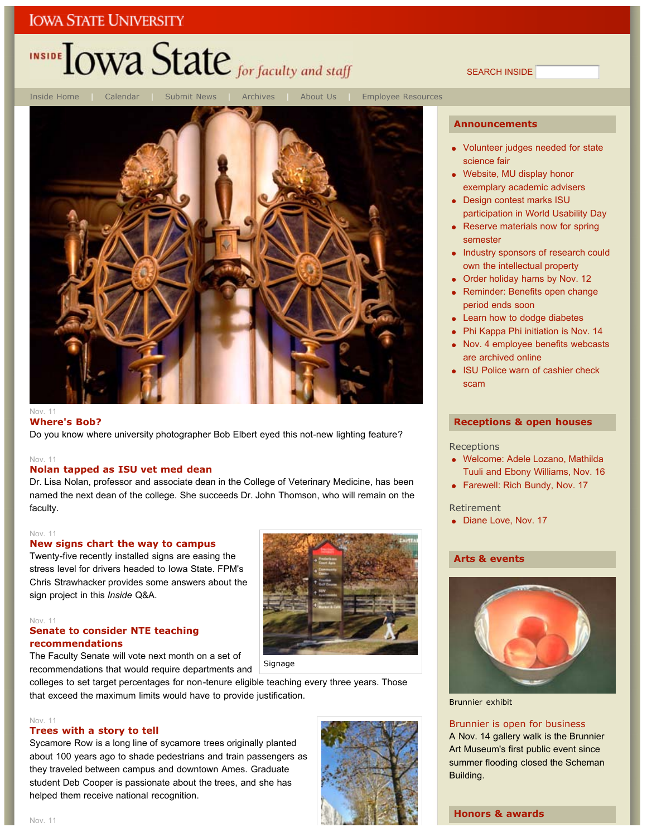# INSIDE **LOWA State** for faculty and staff

SEARCH INSIDE

**Announcements**



#### **Where's Bob?**

Do you know where university photographer Bob Elbert eyed this not-new lighting feature?

#### Nov. 11

#### **Nolan tapped as ISU vet med dean**

Dr. Lisa Nolan, professor and associate dean in the College of Veterinary Medicine, has been named the next dean of the college. She succeeds Dr. John Thomson, who will remain on the faculty.

#### Nov. 11

#### **New signs chart the way to campus**

Twenty-five recently installed signs are easing the stress level for drivers headed to Iowa State. FPM's Chris Strawhacker provides some answers about the sign project in this *Inside* Q&A.

#### Nov. 11

#### **Senate to consider NTE teaching recommendations**

The Faculty Senate will vote next month on a set of recommendations that would require departments and

colleges to set target percentages for non-tenure eligible teaching every three years. Those that exceed the maximum limits would have to provide justification.

#### Nov. 11

#### **Trees with a story to tell**

Sycamore Row is a long line of sycamore trees originally planted about 100 years ago to shade pedestrians and train passengers as they traveled between campus and downtown Ames. Graduate student Deb Cooper is passionate about the trees, and she has helped them receive national recognition.



## Volunteer judges needed for state

- science fair Website, MU display honor exemplary academic advisers
- Design contest marks ISU participation in World Usability Day
- Reserve materials now for spring semester
- Industry sponsors of research could own the intellectual property
- Order holiday hams by Nov. 12
- Reminder: Benefits open change period ends soon
- Learn how to dodge diabetes
- Phi Kappa Phi initiation is Nov. 14
- Nov. 4 employee benefits webcasts are archived online
- ISU Police warn of cashier check scam

#### **Receptions & open houses**

#### **Receptions**

- Welcome: Adele Lozano, Mathilda Tuuli and Ebony Williams, Nov. 16
- Farewell: Rich Bundy, Nov. 17

#### Retirement

• Diane Love, Nov. 17

#### **Arts & events**



Brunnier exhibit

#### Brunnier is open for business

A Nov. 14 gallery walk is the Brunnier Art Museum's first public event since summer flooding closed the Scheman Building.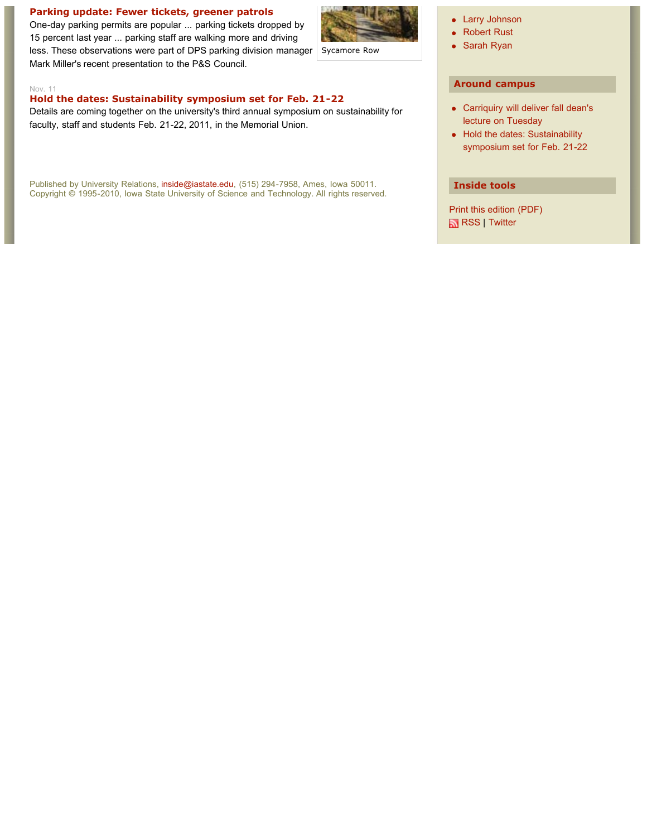#### **Parking update: Fewer tickets, greener patrols**

One-day parking permits are popular ... parking tickets dropped by 15 percent last year ... parking staff are walking more and driving less. These observations were part of DPS parking division manager Mark Miller's recent presentation to the P&S Council.



Sycamore Row

#### • Larry Johnson

- Robert Rust
- Sarah Ryan

#### **Around campus**

- Carriquiry will deliver fall dean's lecture on Tuesday
- Hold the dates: Sustainability symposium set for Feb. 21-22

#### **Inside tools**

Print this edition (PDF) **RSS** | Twitter

#### Nov. 11

#### **Hold the dates: Sustainability symposium set for Feb. 21-22**

Details are coming together on the university's third annual symposium on sustainability for faculty, staff and students Feb. 21-22, 2011, in the Memorial Union.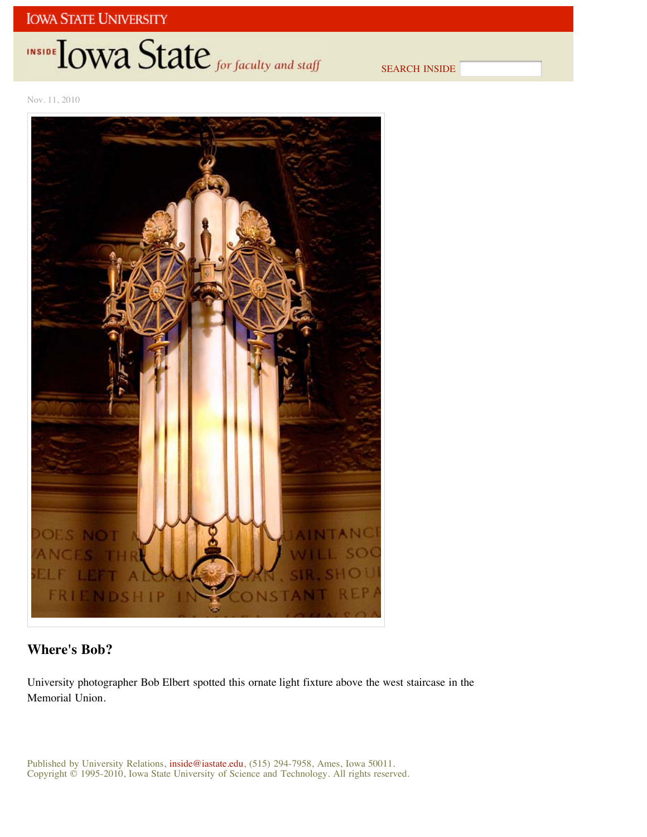# INSIDE TOWA State for faculty and staff

SEARCH INSIDE

Nov. 11, 2010



### **Where's Bob?**

University photographer Bob Elbert spotted this ornate light fixture above the west staircase in the Memorial Union.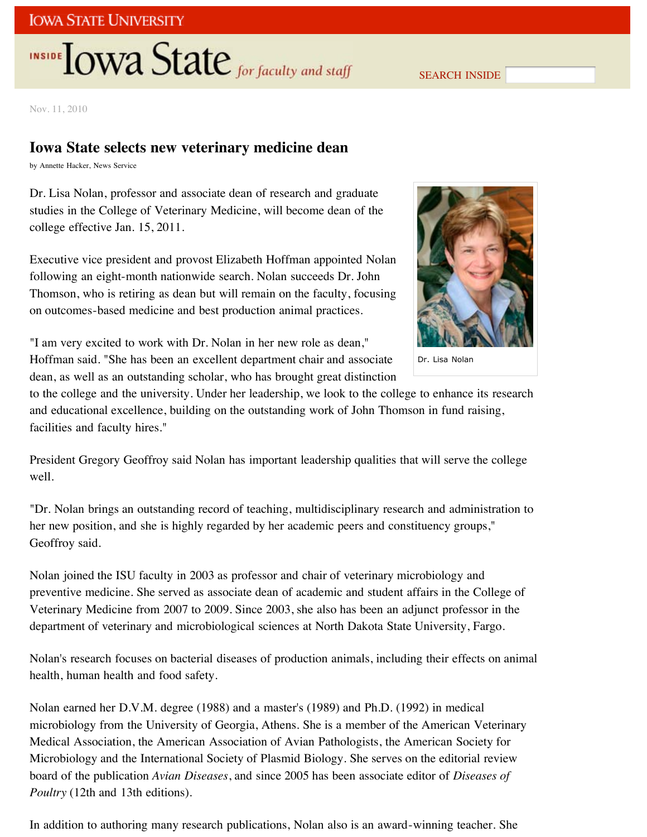# **INSIDE TOWA State** for faculty and staff

SEARCH INSIDE

Nov. 11, 2010

## **Iowa State selects new veterinary medicine dean**

by Annette Hacker, News Service

Dr. Lisa Nolan, professor and associate dean of research and graduate studies in the College of Veterinary Medicine, will become dean of the college effective Jan. 15, 2011.

Executive vice president and provost Elizabeth Hoffman appointed Nolan following an eight-month nationwide search. Nolan succeeds Dr. John Thomson, who is retiring as dean but will remain on the faculty, focusing on outcomes-based medicine and best production animal practices.



Dr. Lisa Nolan

"I am very excited to work with Dr. Nolan in her new role as dean," Hoffman said. "She has been an excellent department chair and associate dean, as well as an outstanding scholar, who has brought great distinction

to the college and the university. Under her leadership, we look to the college to enhance its research and educational excellence, building on the outstanding work of John Thomson in fund raising, facilities and faculty hires."

President Gregory Geoffroy said Nolan has important leadership qualities that will serve the college well.

"Dr. Nolan brings an outstanding record of teaching, multidisciplinary research and administration to her new position, and she is highly regarded by her academic peers and constituency groups," Geoffroy said.

Nolan joined the ISU faculty in 2003 as professor and chair of veterinary microbiology and preventive medicine. She served as associate dean of academic and student affairs in the College of Veterinary Medicine from 2007 to 2009. Since 2003, she also has been an adjunct professor in the department of veterinary and microbiological sciences at North Dakota State University, Fargo.

Nolan's research focuses on bacterial diseases of production animals, including their effects on animal health, human health and food safety.

Nolan earned her D.V.M. degree (1988) and a master's (1989) and Ph.D. (1992) in medical microbiology from the University of Georgia, Athens. She is a member of the American Veterinary Medical Association, the American Association of Avian Pathologists, the American Society for Microbiology and the International Society of Plasmid Biology. She serves on the editorial review board of the publication *Avian Diseases*, and since 2005 has been associate editor of *Diseases of Poultry* (12th and 13th editions).

In addition to authoring many research publications, Nolan also is an award-winning teacher. She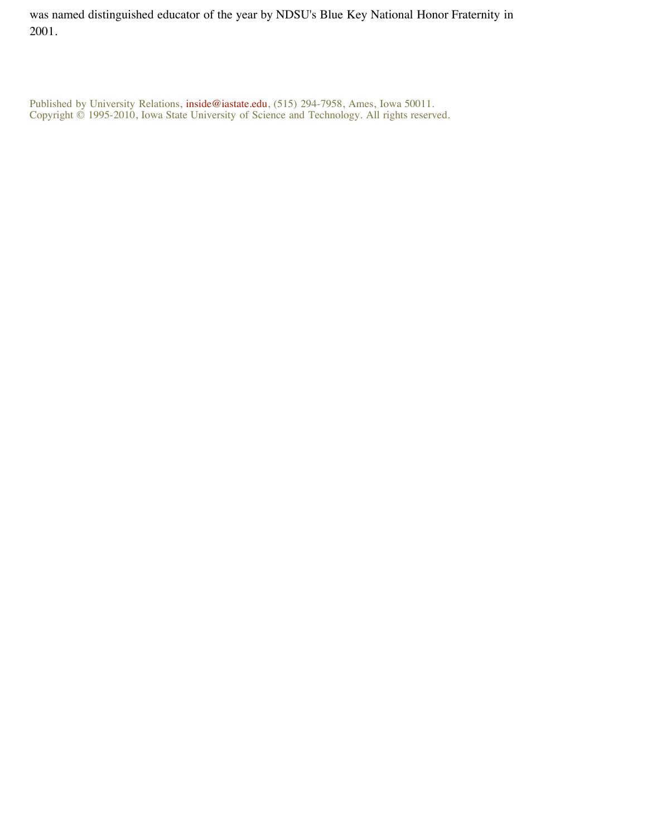was named distinguished educator of the year by NDSU's Blue Key National Honor Fraternity in 2001.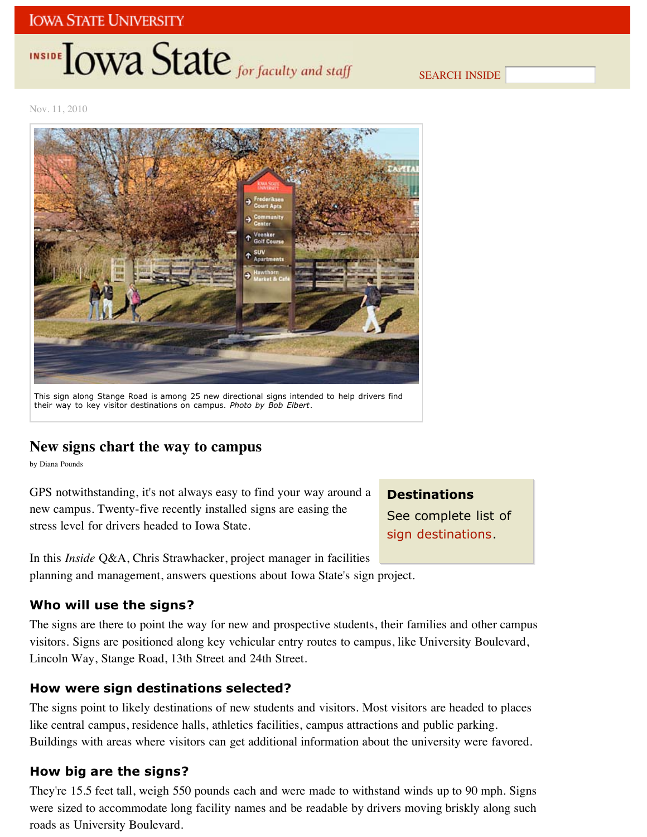# INSIDE **IOWA State** for faculty and staff

SEARCH INSIDE

Nov. 11, 2010



This sign along Stange Road is among 25 new directional signs intended to help drivers find their way to key visitor destinations on campus. *Photo by Bob Elbert*.

## **New signs chart the way to campus**

by Diana Pounds

GPS notwithstanding, it's not always easy to find your way around a new campus. Twenty-five recently installed signs are easing the stress level for drivers headed to Iowa State.

## **Destinations**

See complete list of sign destinations.

In this *Inside* Q&A, Chris Strawhacker, project manager in facilities planning and management, answers questions about Iowa State's sign project.

## **Who will use the signs?**

The signs are there to point the way for new and prospective students, their families and other campus visitors. Signs are positioned along key vehicular entry routes to campus, like University Boulevard, Lincoln Way, Stange Road, 13th Street and 24th Street.

### **How were sign destinations selected?**

The signs point to likely destinations of new students and visitors. Most visitors are headed to places like central campus, residence halls, athletics facilities, campus attractions and public parking. Buildings with areas where visitors can get additional information about the university were favored.

## **How big are the signs?**

They're 15.5 feet tall, weigh 550 pounds each and were made to withstand winds up to 90 mph. Signs were sized to accommodate long facility names and be readable by drivers moving briskly along such roads as University Boulevard.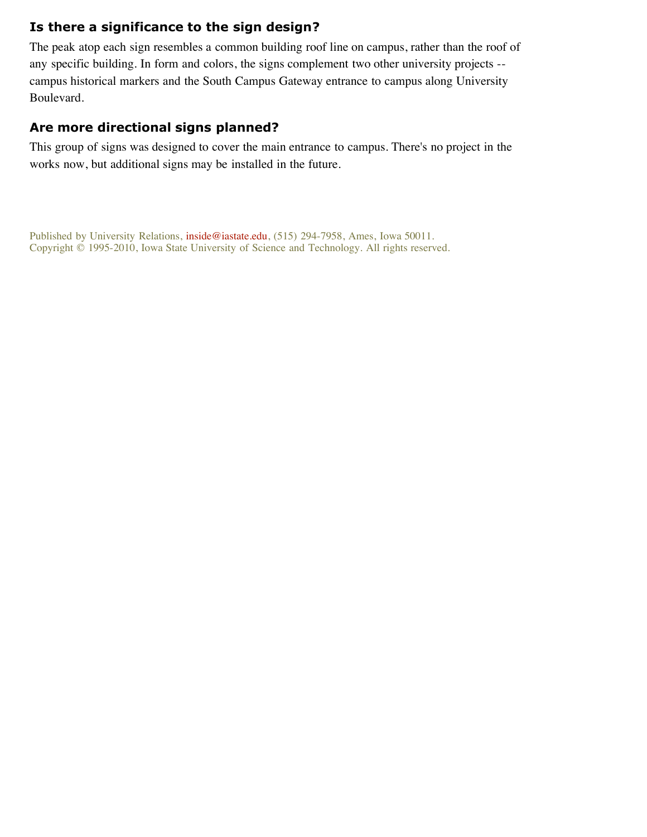### **Is there a significance to the sign design?**

The peak atop each sign resembles a common building roof line on campus, rather than the roof of any specific building. In form and colors, the signs complement two other university projects - campus historical markers and the South Campus Gateway entrance to campus along University Boulevard.

#### **Are more directional signs planned?**

This group of signs was designed to cover the main entrance to campus. There's no project in the works now, but additional signs may be installed in the future.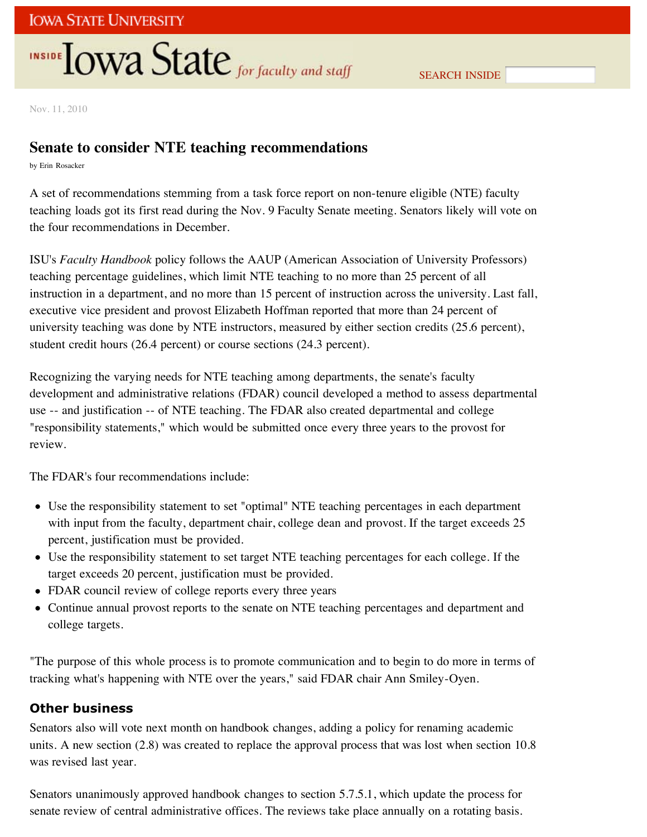# **INSIDE OWA State** for faculty and staff

Nov. 11, 2010

## **Senate to consider NTE teaching recommendations**

by Erin Rosacker

A set of recommendations stemming from a task force report on non-tenure eligible (NTE) faculty teaching loads got its first read during the Nov. 9 Faculty Senate meeting. Senators likely will vote on the four recommendations in December.

ISU's *Faculty Handbook* policy follows the AAUP (American Association of University Professors) teaching percentage guidelines, which limit NTE teaching to no more than 25 percent of all instruction in a department, and no more than 15 percent of instruction across the university. Last fall, executive vice president and provost Elizabeth Hoffman reported that more than 24 percent of university teaching was done by NTE instructors, measured by either section credits (25.6 percent), student credit hours (26.4 percent) or course sections (24.3 percent).

Recognizing the varying needs for NTE teaching among departments, the senate's faculty development and administrative relations (FDAR) council developed a method to assess departmental use -- and justification -- of NTE teaching. The FDAR also created departmental and college "responsibility statements," which would be submitted once every three years to the provost for review.

The FDAR's four recommendations include:

- Use the responsibility statement to set "optimal" NTE teaching percentages in each department with input from the faculty, department chair, college dean and provost. If the target exceeds 25 percent, justification must be provided.
- Use the responsibility statement to set target NTE teaching percentages for each college. If the target exceeds 20 percent, justification must be provided.
- FDAR council review of college reports every three years
- Continue annual provost reports to the senate on NTE teaching percentages and department and college targets.

"The purpose of this whole process is to promote communication and to begin to do more in terms of tracking what's happening with NTE over the years," said FDAR chair Ann Smiley-Oyen.

## **Other business**

Senators also will vote next month on handbook changes, adding a policy for renaming academic units. A new section (2.8) was created to replace the approval process that was lost when section 10.8 was revised last year.

Senators unanimously approved handbook changes to section 5.7.5.1, which update the process for senate review of central administrative offices. The reviews take place annually on a rotating basis.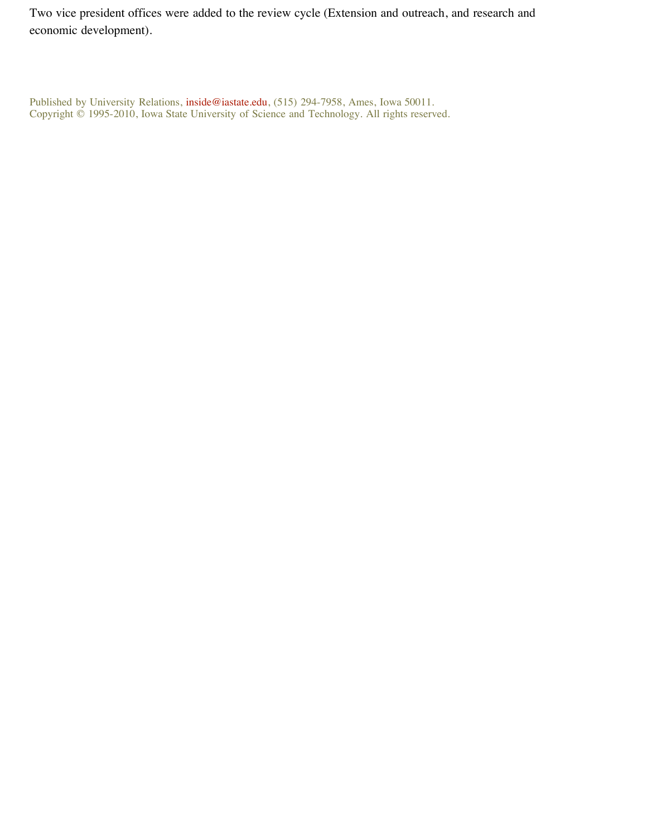Two vice president offices were added to the review cycle (Extension and outreach, and research and economic development).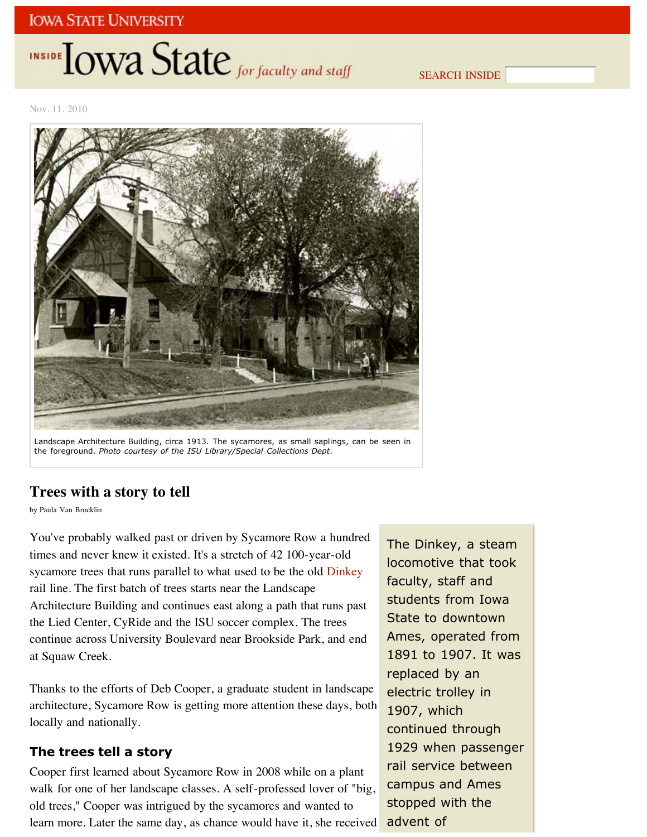# INSIDE **LOWA State** for faculty and staff

SEARCH INSIDE

Nov. 11, 2010



Landscape Architecture Building, circa 1913. The sycamores, as small saplings, can be seen in the foreground. *Photo courtesy of the ISU Library/Special Collections Dept*.

## **Trees with a story to tell**

by Paula Van Brocklin

You've probably walked past or driven by Sycamore Row a hundred times and never knew it existed. It's a stretch of 42 100-year-old sycamore trees that runs parallel to what used to be the old Dinkey rail line. The first batch of trees starts near the Landscape Architecture Building and continues east along a path that runs past the Lied Center, CyRide and the ISU soccer complex. The trees continue across University Boulevard near Brookside Park, and end at Squaw Creek.

Thanks to the efforts of Deb Cooper, a graduate student in landscape architecture, Sycamore Row is getting more attention these days, both locally and nationally.

#### **The trees tell a story**

Cooper first learned about Sycamore Row in 2008 while on a plant walk for one of her landscape classes. A self-professed lover of "big, old trees," Cooper was intrigued by the sycamores and wanted to learn more. Later the same day, as chance would have it, she received

The Dinkey, a steam locomotive that took faculty, staff and students from Iowa State to downtown Ames, operated from 1891 to 1907. It was replaced by an electric trolley in 1907, which continued through 1929 when passenger rail service between campus and Ames stopped with the advent of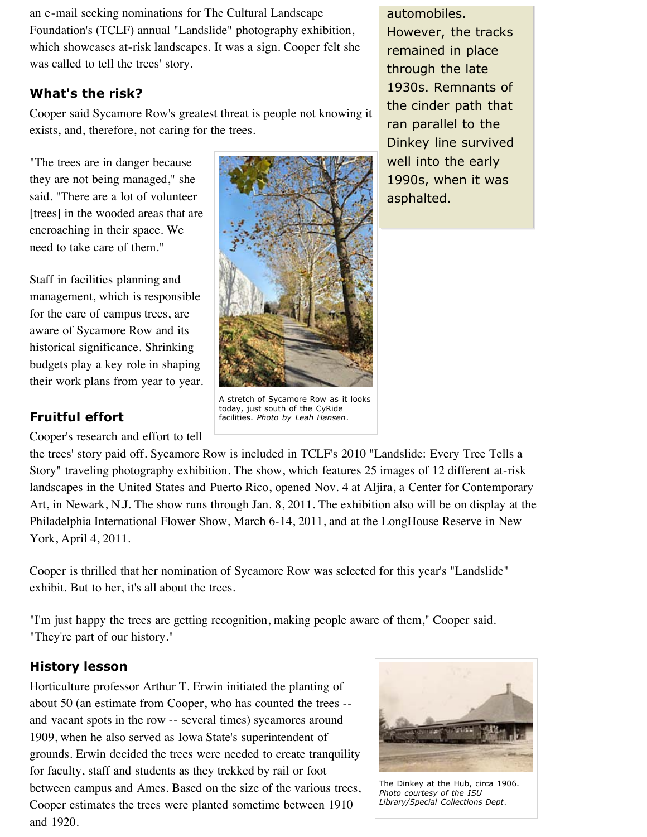an e-mail seeking nominations for The Cultural Landscape Foundation's (TCLF) annual "Landslide" photography exhibition, which showcases at-risk landscapes. It was a sign. Cooper felt she was called to tell the trees' story.

### **What's the risk?**

Cooper said Sycamore Row's greatest threat is people not knowing it exists, and, therefore, not caring for the trees.

"The trees are in danger because they are not being managed," she said. "There are a lot of volunteer [trees] in the wooded areas that are encroaching in their space. We need to take care of them."

Staff in facilities planning and management, which is responsible for the care of campus trees, are aware of Sycamore Row and its historical significance. Shrinking budgets play a key role in shaping their work plans from year to year.

## **Fruitful effort**

Cooper's research and effort to tell



A stretch of Sycamore Row as it looks today, just south of the CyRide facilities. *Photo by Leah Hansen*.

automobiles.

However, the tracks remained in place through the late 1930s. Remnants of the cinder path that ran parallel to the Dinkey line survived well into the early 1990s, when it was asphalted.

the trees' story paid off. Sycamore Row is included in TCLF's 2010 "Landslide: Every Tree Tells a Story" traveling photography exhibition. The show, which features 25 images of 12 different at-risk landscapes in the United States and Puerto Rico, opened Nov. 4 at Aljira, a Center for Contemporary Art, in Newark, N.J. The show runs through Jan. 8, 2011. The exhibition also will be on display at the Philadelphia International Flower Show, March 6-14, 2011, and at the LongHouse Reserve in New York, April 4, 2011.

Cooper is thrilled that her nomination of Sycamore Row was selected for this year's "Landslide" exhibit. But to her, it's all about the trees.

"I'm just happy the trees are getting recognition, making people aware of them," Cooper said. "They're part of our history."

## **History lesson**

Horticulture professor Arthur T. Erwin initiated the planting of about 50 (an estimate from Cooper, who has counted the trees - and vacant spots in the row -- several times) sycamores around 1909, when he also served as Iowa State's superintendent of grounds. Erwin decided the trees were needed to create tranquility for faculty, staff and students as they trekked by rail or foot between campus and Ames. Based on the size of the various trees, Cooper estimates the trees were planted sometime between 1910 and 1920.



The Dinkey at the Hub, circa 1906. *Photo courtesy of the ISU Library/Special Collections Dept*.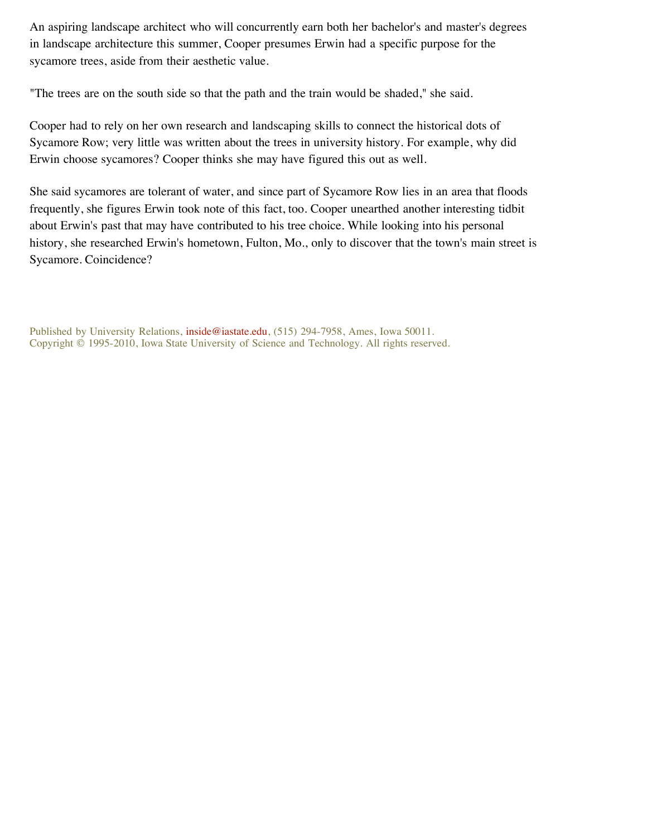An aspiring landscape architect who will concurrently earn both her bachelor's and master's degrees in landscape architecture this summer, Cooper presumes Erwin had a specific purpose for the sycamore trees, aside from their aesthetic value.

"The trees are on the south side so that the path and the train would be shaded," she said.

Cooper had to rely on her own research and landscaping skills to connect the historical dots of Sycamore Row; very little was written about the trees in university history. For example, why did Erwin choose sycamores? Cooper thinks she may have figured this out as well.

She said sycamores are tolerant of water, and since part of Sycamore Row lies in an area that floods frequently, she figures Erwin took note of this fact, too. Cooper unearthed another interesting tidbit about Erwin's past that may have contributed to his tree choice. While looking into his personal history, she researched Erwin's hometown, Fulton, Mo., only to discover that the town's main street is Sycamore. Coincidence?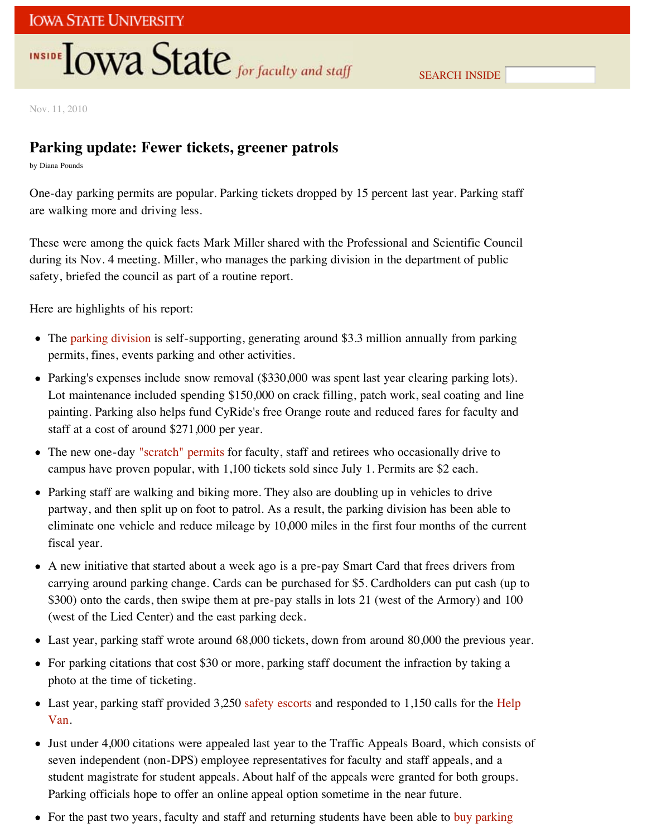# **INSIDE OWA State** for faculty and staff

Nov. 11, 2010

## **Parking update: Fewer tickets, greener patrols**

by Diana Pounds

One-day parking permits are popular. Parking tickets dropped by 15 percent last year. Parking staff are walking more and driving less.

These were among the quick facts Mark Miller shared with the Professional and Scientific Council during its Nov. 4 meeting. Miller, who manages the parking division in the department of public safety, briefed the council as part of a routine report.

Here are highlights of his report:

- The parking division is self-supporting, generating around \$3.3 million annually from parking permits, fines, events parking and other activities.
- Parking's expenses include snow removal (\$330,000 was spent last year clearing parking lots). Lot maintenance included spending \$150,000 on crack filling, patch work, seal coating and line painting. Parking also helps fund CyRide's free Orange route and reduced fares for faculty and staff at a cost of around \$271,000 per year.
- The new one-day "scratch" permits for faculty, staff and retirees who occasionally drive to campus have proven popular, with 1,100 tickets sold since July 1. Permits are \$2 each.
- Parking staff are walking and biking more. They also are doubling up in vehicles to drive partway, and then split up on foot to patrol. As a result, the parking division has been able to eliminate one vehicle and reduce mileage by 10,000 miles in the first four months of the current fiscal year.
- A new initiative that started about a week ago is a pre-pay Smart Card that frees drivers from carrying around parking change. Cards can be purchased for \$5. Cardholders can put cash (up to \$300) onto the cards, then swipe them at pre-pay stalls in lots 21 (west of the Armory) and 100 (west of the Lied Center) and the east parking deck.
- Last year, parking staff wrote around 68,000 tickets, down from around 80,000 the previous year.
- For parking citations that cost \$30 or more, parking staff document the infraction by taking a photo at the time of ticketing.
- Last year, parking staff provided 3,250 safety escorts and responded to 1,150 calls for the Help Van.
- Just under 4,000 citations were appealed last year to the Traffic Appeals Board, which consists of seven independent (non-DPS) employee representatives for faculty and staff appeals, and a student magistrate for student appeals. About half of the appeals were granted for both groups. Parking officials hope to offer an online appeal option sometime in the near future.
- For the past two years, faculty and staff and returning students have been able to buy parking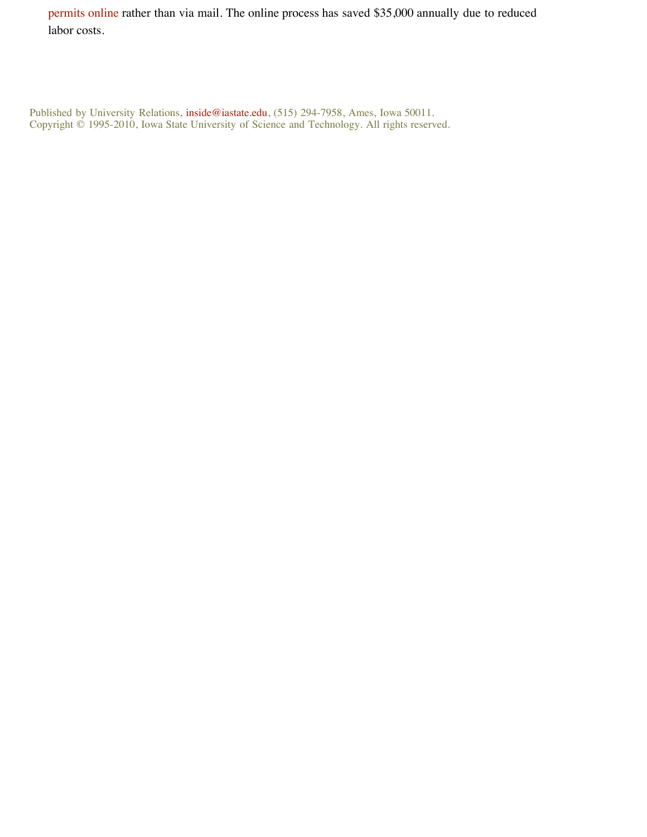permits online rather than via mail. The online process has saved \$35,000 annually due to reduced labor costs.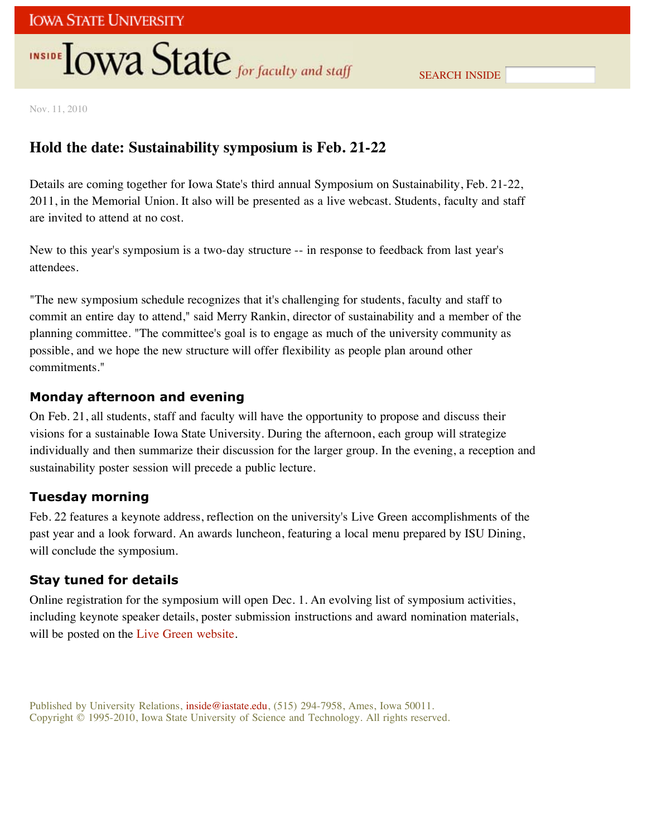## **INSIDE TOWA State** for faculty and staff

SEARCH INSIDE

Nov. 11, 2010

## **Hold the date: Sustainability symposium is Feb. 21-22**

Details are coming together for Iowa State's third annual Symposium on Sustainability, Feb. 21-22, 2011, in the Memorial Union. It also will be presented as a live webcast. Students, faculty and staff are invited to attend at no cost.

New to this year's symposium is a two-day structure -- in response to feedback from last year's attendees.

"The new symposium schedule recognizes that it's challenging for students, faculty and staff to commit an entire day to attend," said Merry Rankin, director of sustainability and a member of the planning committee. "The committee's goal is to engage as much of the university community as possible, and we hope the new structure will offer flexibility as people plan around other commitments."

### **Monday afternoon and evening**

On Feb. 21, all students, staff and faculty will have the opportunity to propose and discuss their visions for a sustainable Iowa State University. During the afternoon, each group will strategize individually and then summarize their discussion for the larger group. In the evening, a reception and sustainability poster session will precede a public lecture.

## **Tuesday morning**

Feb. 22 features a keynote address, reflection on the university's Live Green accomplishments of the past year and a look forward. An awards luncheon, featuring a local menu prepared by ISU Dining, will conclude the symposium.

## **Stay tuned for details**

Online registration for the symposium will open Dec. 1. An evolving list of symposium activities, including keynote speaker details, poster submission instructions and award nomination materials, will be posted on the Live Green website.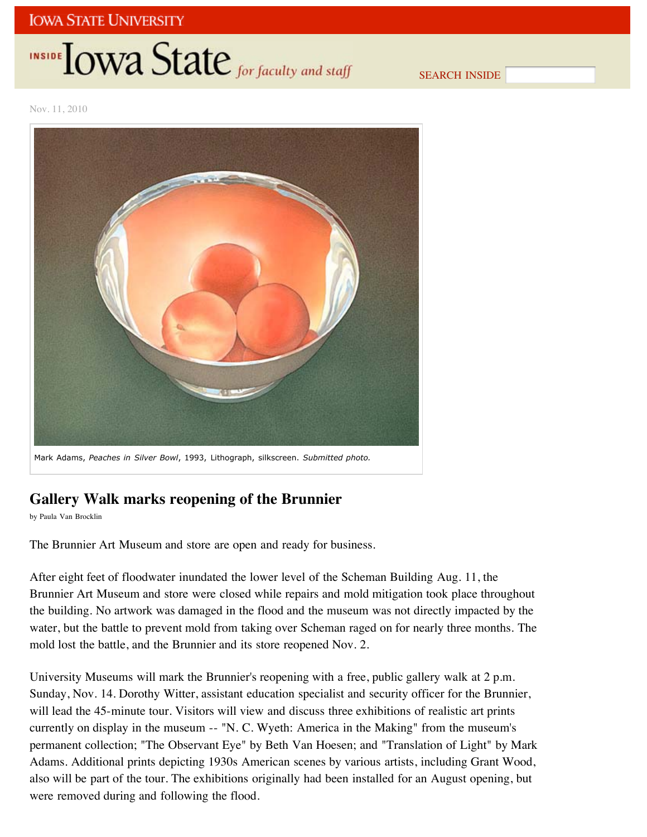# INSIDE LOWA State for faculty and staff

SEARCH INSIDE

Nov. 11, 2010



Mark Adams, *Peaches in Silver Bowl*, 1993, Lithograph, silkscreen. *Submitted photo.*

## **Gallery Walk marks reopening of the Brunnier**

by Paula Van Brocklin

The Brunnier Art Museum and store are open and ready for business.

After eight feet of floodwater inundated the lower level of the Scheman Building Aug. 11, the Brunnier Art Museum and store were closed while repairs and mold mitigation took place throughout the building. No artwork was damaged in the flood and the museum was not directly impacted by the water, but the battle to prevent mold from taking over Scheman raged on for nearly three months. The mold lost the battle, and the Brunnier and its store reopened Nov. 2.

University Museums will mark the Brunnier's reopening with a free, public gallery walk at 2 p.m. Sunday, Nov. 14. Dorothy Witter, assistant education specialist and security officer for the Brunnier, will lead the 45-minute tour. Visitors will view and discuss three exhibitions of realistic art prints currently on display in the museum -- "N. C. Wyeth: America in the Making" from the museum's permanent collection; "The Observant Eye" by Beth Van Hoesen; and "Translation of Light" by Mark Adams. Additional prints depicting 1930s American scenes by various artists, including Grant Wood, also will be part of the tour. The exhibitions originally had been installed for an August opening, but were removed during and following the flood.